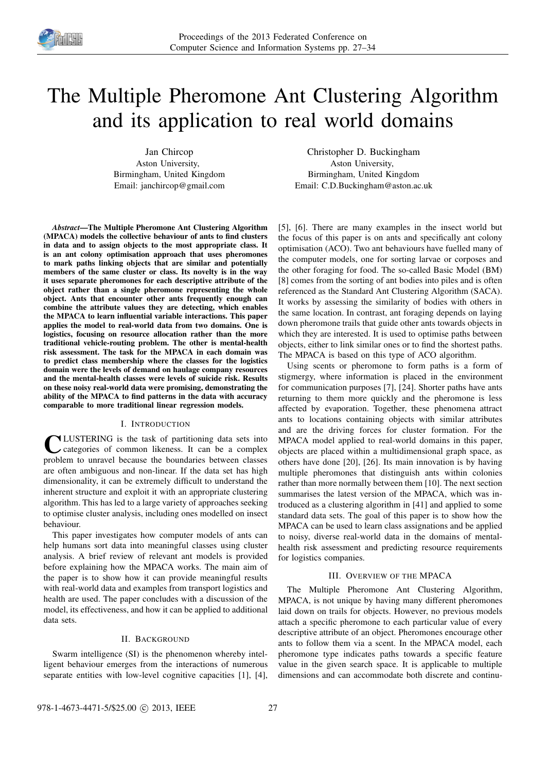

# The Multiple Pheromone Ant Clustering Algorithm and its application to real world domains

Jan Chircop Aston University, Birmingham, United Kingdom Email: janchircop@gmail.com

*Abstract*—The Multiple Pheromone Ant Clustering Algorithm (MPACA) models the collective behaviour of ants to find clusters in data and to assign objects to the most appropriate class. It is an ant colony optimisation approach that uses pheromones to mark paths linking objects that are similar and potentially members of the same cluster or class. Its novelty is in the way it uses separate pheromones for each descriptive attribute of the object rather than a single pheromone representing the whole object. Ants that encounter other ants frequently enough can combine the attribute values they are detecting, which enables the MPACA to learn influential variable interactions. This paper applies the model to real-world data from two domains. One is logistics, focusing on resource allocation rather than the more traditional vehicle-routing problem. The other is mental-health risk assessment. The task for the MPACA in each domain was to predict class membership where the classes for the logistics domain were the levels of demand on haulage company resources and the mental-health classes were levels of suicide risk. Results on these noisy real-world data were promising, demonstrating the ability of the MPACA to find patterns in the data with accuracy comparable to more traditional linear regression models.

# I. INTRODUCTION

**C** LUSTERING is the task of partitioning data sets into categories of common likeness. It can be a complex problem to unravel because the boundaries between classes LUSTERING is the task of partitioning data sets into categories of common likeness. It can be a complex are often ambiguous and non-linear. If the data set has high dimensionality, it can be extremely difficult to understand the inherent structure and exploit it with an appropriate clustering algorithm. This has led to a large variety of approaches seeking to optimise cluster analysis, including ones modelled on insect behaviour.

This paper investigates how computer models of ants can help humans sort data into meaningful classes using cluster analysis. A brief review of relevant ant models is provided before explaining how the MPACA works. The main aim of the paper is to show how it can provide meaningful results with real-world data and examples from transport logistics and health are used. The paper concludes with a discussion of the model, its effectiveness, and how it can be applied to additional data sets.

# II. BACKGROUND

Swarm intelligence (SI) is the phenomenon whereby intelligent behaviour emerges from the interactions of numerous separate entities with low-level cognitive capacities [1], [4],

Christopher D. Buckingham Aston University, Birmingham, United Kingdom Email: C.D.Buckingham@aston.ac.uk

[5], [6]. There are many examples in the insect world but the focus of this paper is on ants and specifically ant colony optimisation (ACO). Two ant behaviours have fuelled many of the computer models, one for sorting larvae or corposes and the other foraging for food. The so-called Basic Model (BM) [8] comes from the sorting of ant bodies into piles and is often referenced as the Standard Ant Clustering Algorithm (SACA). It works by assessing the similarity of bodies with others in the same location. In contrast, ant foraging depends on laying down pheromone trails that guide other ants towards objects in which they are interested. It is used to optimise paths between objects, either to link similar ones or to find the shortest paths. The MPACA is based on this type of ACO algorithm.

Using scents or pheromone to form paths is a form of stigmergy, where information is placed in the environment for communication purposes [7], [24]. Shorter paths have ants returning to them more quickly and the pheromone is less affected by evaporation. Together, these phenomena attract ants to locations containing objects with similar attributes and are the driving forces for cluster formation. For the MPACA model applied to real-world domains in this paper, objects are placed within a multidimensional graph space, as others have done [20], [26]. Its main innovation is by having multiple pheromones that distinguish ants within colonies rather than more normally between them [10]. The next section summarises the latest version of the MPACA, which was introduced as a clustering algorithm in [41] and applied to some standard data sets. The goal of this paper is to show how the MPACA can be used to learn class assignations and be applied to noisy, diverse real-world data in the domains of mentalhealth risk assessment and predicting resource requirements for logistics companies.

# III. OVERVIEW OF THE MPACA

The Multiple Pheromone Ant Clustering Algorithm, MPACA, is not unique by having many different pheromones laid down on trails for objects. However, no previous models attach a specific pheromone to each particular value of every descriptive attribute of an object. Pheromones encourage other ants to follow them via a scent. In the MPACA model, each pheromone type indicates paths towards a specific feature value in the given search space. It is applicable to multiple dimensions and can accommodate both discrete and continu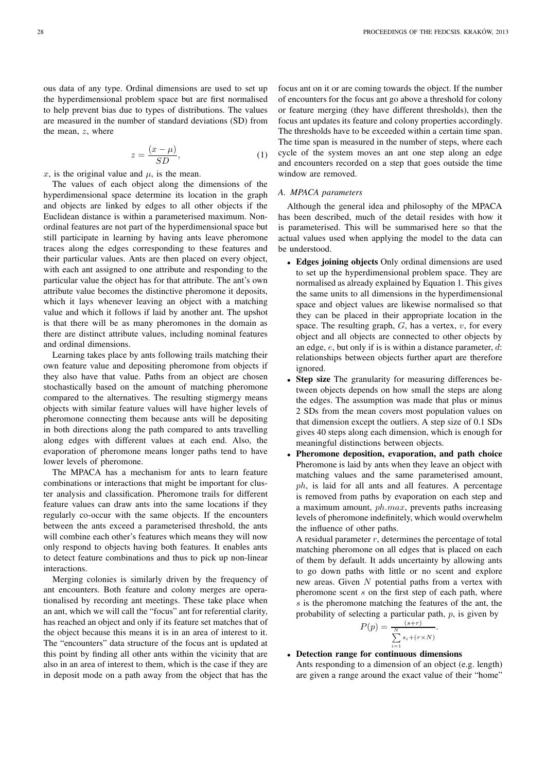ous data of any type. Ordinal dimensions are used to set up the hyperdimensional problem space but are first normalised to help prevent bias due to types of distributions. The values are measured in the number of standard deviations (SD) from the mean, z, where

$$
z = \frac{(x - \mu)}{SD},\tag{1}
$$

x, is the original value and  $\mu$ , is the mean.

The values of each object along the dimensions of the hyperdimensional space determine its location in the graph and objects are linked by edges to all other objects if the Euclidean distance is within a parameterised maximum. Nonordinal features are not part of the hyperdimensional space but still participate in learning by having ants leave pheromone traces along the edges corresponding to these features and their particular values. Ants are then placed on every object, with each ant assigned to one attribute and responding to the particular value the object has for that attribute. The ant's own attribute value becomes the distinctive pheromone it deposits, which it lays whenever leaving an object with a matching value and which it follows if laid by another ant. The upshot is that there will be as many pheromones in the domain as there are distinct attribute values, including nominal features and ordinal dimensions.

Learning takes place by ants following trails matching their own feature value and depositing pheromone from objects if they also have that value. Paths from an object are chosen stochastically based on the amount of matching pheromone compared to the alternatives. The resulting stigmergy means objects with similar feature values will have higher levels of pheromone connecting them because ants will be depositing in both directions along the path compared to ants travelling along edges with different values at each end. Also, the evaporation of pheromone means longer paths tend to have lower levels of pheromone.

The MPACA has a mechanism for ants to learn feature combinations or interactions that might be important for cluster analysis and classification. Pheromone trails for different feature values can draw ants into the same locations if they regularly co-occur with the same objects. If the encounters between the ants exceed a parameterised threshold, the ants will combine each other's features which means they will now only respond to objects having both features. It enables ants to detect feature combinations and thus to pick up non-linear interactions.

Merging colonies is similarly driven by the frequency of ant encounters. Both feature and colony merges are operationalised by recording ant meetings. These take place when an ant, which we will call the "focus" ant for referential clarity, has reached an object and only if its feature set matches that of the object because this means it is in an area of interest to it. The "encounters" data structure of the focus ant is updated at this point by finding all other ants within the vicinity that are also in an area of interest to them, which is the case if they are in deposit mode on a path away from the object that has the

focus ant on it or are coming towards the object. If the number of encounters for the focus ant go above a threshold for colony or feature merging (they have different thresholds), then the focus ant updates its feature and colony properties accordingly. The thresholds have to be exceeded within a certain time span. The time span is measured in the number of steps, where each cycle of the system moves an ant one step along an edge and encounters recorded on a step that goes outside the time window are removed.

### *A. MPACA parameters*

Although the general idea and philosophy of the MPACA has been described, much of the detail resides with how it is parameterised. This will be summarised here so that the actual values used when applying the model to the data can be understood.

- Edges joining objects Only ordinal dimensions are used to set up the hyperdimensional problem space. They are normalised as already explained by Equation 1. This gives the same units to all dimensions in the hyperdimensional space and object values are likewise normalised so that they can be placed in their appropriate location in the space. The resulting graph,  $G$ , has a vertex,  $v$ , for every object and all objects are connected to other objects by an edge,  $e$ , but only if is is within a distance parameter,  $d$ : relationships between objects further apart are therefore ignored.
- Step size The granularity for measuring differences between objects depends on how small the steps are along the edges. The assumption was made that plus or minus 2 SDs from the mean covers most population values on that dimension except the outliers. A step size of 0.1 SDs gives 40 steps along each dimension, which is enough for meaningful distinctions between objects.
- Pheromone deposition, evaporation, and path choice Pheromone is laid by ants when they leave an object with matching values and the same parameterised amount, ph, is laid for all ants and all features. A percentage is removed from paths by evaporation on each step and a maximum amount,  $ph.max$ , prevents paths increasing levels of pheromone indefinitely, which would overwhelm the influence of other paths.

A residual parameter  $r$ , determines the percentage of total matching pheromone on all edges that is placed on each of them by default. It adds uncertainty by allowing ants to go down paths with little or no scent and explore new areas. Given  $N$  potential paths from a vertex with pheromone scent  $s$  on the first step of each path, where s is the pheromone matching the features of the ant, the probability of selecting a particular path,  $p$ , is given by

$$
P(p) = \frac{s+r}{\sum_{i=1}^{N} s_i + (r \times N)}.
$$

## • Detection range for continuous dimensions

Ants responding to a dimension of an object (e.g. length) are given a range around the exact value of their "home"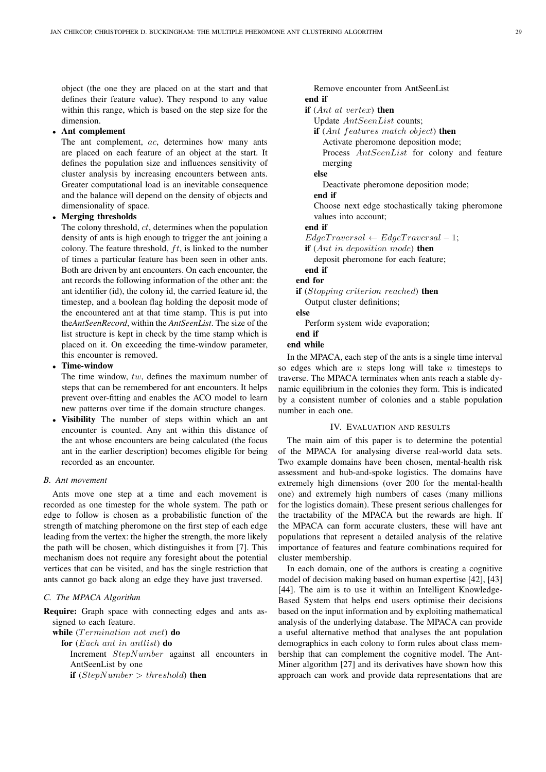object (the one they are placed on at the start and that defines their feature value). They respond to any value within this range, which is based on the step size for the dimension.

# • Ant complement

The ant complement, ac, determines how many ants are placed on each feature of an object at the start. It defines the population size and influences sensitivity of cluster analysis by increasing encounters between ants. Greater computational load is an inevitable consequence and the balance will depend on the density of objects and dimensionality of space.

# • Merging thresholds

The colony threshold,  $ct$ , determines when the population density of ants is high enough to trigger the ant joining a colony. The feature threshold,  $ft$ , is linked to the number of times a particular feature has been seen in other ants. Both are driven by ant encounters. On each encounter, the ant records the following information of the other ant: the ant identifier (id), the colony id, the carried feature id, the timestep, and a boolean flag holding the deposit mode of the encountered ant at that time stamp. This is put into the*AntSeenRecord*, within the *AntSeenList*. The size of the list structure is kept in check by the time stamp which is placed on it. On exceeding the time-window parameter, this encounter is removed.

# • Time-window

The time window,  $tw$ , defines the maximum number of steps that can be remembered for ant encounters. It helps prevent over-fitting and enables the ACO model to learn new patterns over time if the domain structure changes.

• Visibility The number of steps within which an ant encounter is counted. Any ant within this distance of the ant whose encounters are being calculated (the focus ant in the earlier description) becomes eligible for being recorded as an encounter.

# *B. Ant movement*

Ants move one step at a time and each movement is recorded as one timestep for the whole system. The path or edge to follow is chosen as a probabilistic function of the strength of matching pheromone on the first step of each edge leading from the vertex: the higher the strength, the more likely the path will be chosen, which distinguishes it from [7]. This mechanism does not require any foresight about the potential vertices that can be visited, and has the single restriction that ants cannot go back along an edge they have just traversed.

# *C. The MPACA Algorithm*

Require: Graph space with connecting edges and ants assigned to each feature.

while  $(Termination not met)$  do

for (Each ant in antlist) do Increment StepNumber against all encounters in AntSeenList by one if  $(StepNumber > threshold)$  then

Remove encounter from AntSeenList end if if  $(Ant \, at \, vertex)$  then Update AntSeenList counts; if  $(Ant \; features \; match \; object)$  then Activate pheromone deposition mode; Process  $AntSeenList$  for colony and feature merging else Deactivate pheromone deposition mode; end if Choose next edge stochastically taking pheromone values into account; end if  $EdgeTraversal \leftarrow EdgeTraversal - 1;$ if (Ant in deposition mode) then deposit pheromone for each feature; end if end for if (Stopping criterion reached) then Output cluster definitions; else Perform system wide evaporation; end if end while

In the MPACA, each step of the ants is a single time interval so edges which are *n* steps long will take *n* timesteps to traverse. The MPACA terminates when ants reach a stable dynamic equilibrium in the colonies they form. This is indicated by a consistent number of colonies and a stable population number in each one.

## IV. EVALUATION AND RESULTS

The main aim of this paper is to determine the potential of the MPACA for analysing diverse real-world data sets. Two example domains have been chosen, mental-health risk assessment and hub-and-spoke logistics. The domains have extremely high dimensions (over 200 for the mental-health one) and extremely high numbers of cases (many millions for the logistics domain). These present serious challenges for the tractability of the MPACA but the rewards are high. If the MPACA can form accurate clusters, these will have ant populations that represent a detailed analysis of the relative importance of features and feature combinations required for cluster membership.

In each domain, one of the authors is creating a cognitive model of decision making based on human expertise [42], [43] [44]. The aim is to use it within an Intelligent Knowledge-Based System that helps end users optimise their decisions based on the input information and by exploiting mathematical analysis of the underlying database. The MPACA can provide a useful alternative method that analyses the ant population demographics in each colony to form rules about class membership that can complement the cognitive model. The Ant-Miner algorithm [27] and its derivatives have shown how this approach can work and provide data representations that are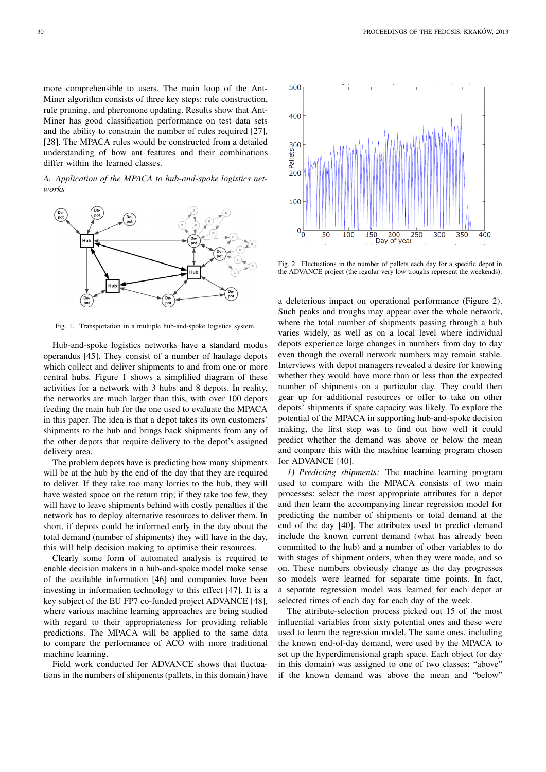more comprehensible to users. The main loop of the Ant-Miner algorithm consists of three key steps: rule construction, rule pruning, and pheromone updating. Results show that Ant-Miner has good classification performance on test data sets and the ability to constrain the number of rules required [27], [28]. The MPACA rules would be constructed from a detailed understanding of how ant features and their combinations differ within the learned classes.

*A. Application of the MPACA to hub-and-spoke logistics networks*



Fig. 1. Transportation in a multiple hub-and-spoke logistics system.

Hub-and-spoke logistics networks have a standard modus operandus [45]. They consist of a number of haulage depots which collect and deliver shipments to and from one or more central hubs. Figure 1 shows a simplified diagram of these activities for a network with 3 hubs and 8 depots. In reality, the networks are much larger than this, with over 100 depots feeding the main hub for the one used to evaluate the MPACA in this paper. The idea is that a depot takes its own customers' shipments to the hub and brings back shipments from any of the other depots that require delivery to the depot's assigned delivery area.

The problem depots have is predicting how many shipments will be at the hub by the end of the day that they are required to deliver. If they take too many lorries to the hub, they will have wasted space on the return trip; if they take too few, they will have to leave shipments behind with costly penalties if the network has to deploy alternative resources to deliver them. In short, if depots could be informed early in the day about the total demand (number of shipments) they will have in the day, this will help decision making to optimise their resources.

Clearly some form of automated analysis is required to enable decision makers in a hub-and-spoke model make sense of the available information [46] and companies have been investing in information technology to this effect [47]. It is a key subject of the EU FP7 co-funded project ADVANCE [48], where various machine learning approaches are being studied with regard to their appropriateness for providing reliable predictions. The MPACA will be applied to the same data to compare the performance of ACO with more traditional machine learning.

Field work conducted for ADVANCE shows that fluctuations in the numbers of shipments (pallets, in this domain) have



Fig. 2. Fluctuations in the number of pallets each day for a specific depot in the ADVANCE project (the regular very low troughs represent the weekends).

a deleterious impact on operational performance (Figure 2). Such peaks and troughs may appear over the whole network, where the total number of shipments passing through a hub varies widely, as well as on a local level where individual depots experience large changes in numbers from day to day even though the overall network numbers may remain stable. Interviews with depot managers revealed a desire for knowing whether they would have more than or less than the expected number of shipments on a particular day. They could then gear up for additional resources or offer to take on other depots' shipments if spare capacity was likely. To explore the potential of the MPACA in supporting hub-and-spoke decision making, the first step was to find out how well it could predict whether the demand was above or below the mean and compare this with the machine learning program chosen for ADVANCE [40].

*1) Predicting shipments:* The machine learning program used to compare with the MPACA consists of two main processes: select the most appropriate attributes for a depot and then learn the accompanying linear regression model for predicting the number of shipments or total demand at the end of the day [40]. The attributes used to predict demand include the known current demand (what has already been committed to the hub) and a number of other variables to do with stages of shipment orders, when they were made, and so on. These numbers obviously change as the day progresses so models were learned for separate time points. In fact, a separate regression model was learned for each depot at selected times of each day for each day of the week.

The attribute-selection process picked out 15 of the most influential variables from sixty potential ones and these were used to learn the regression model. The same ones, including the known end-of-day demand, were used by the MPACA to set up the hyperdimensional graph space. Each object (or day in this domain) was assigned to one of two classes: "above" if the known demand was above the mean and "below"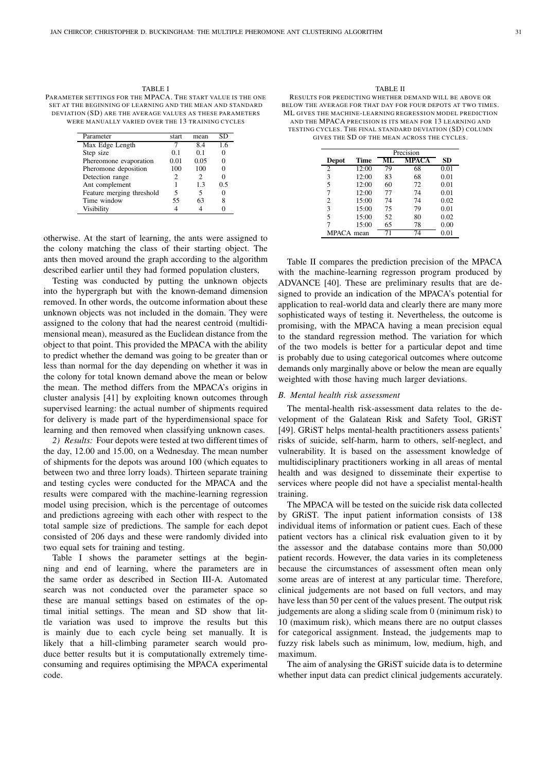| TABLE I                                                      |
|--------------------------------------------------------------|
| PARAMETER SETTINGS FOR THE MPACA. THE START VALUE IS THE ONE |
| SET AT THE BEGINNING OF LEARNING AND THE MEAN AND STANDARD   |
| DEVIATION (SD) ARE THE AVERAGE VALUES AS THESE PARAMETERS    |
| WERE MANUALLY VARIED OVER THE 13 TRAINING CYCLES             |

| Parameter                 | start | mean | SD  |
|---------------------------|-------|------|-----|
| Max Edge Length           |       | 8.4  | 1.6 |
| Step size                 | 0.1   | 01   |     |
| Phereomone evaporation    | 0.01  | 0.05 |     |
| Pheromone deposition      | 100   | 100  |     |
| Detection range           | 2     | 2    |     |
| Ant complement            |       | 1.3  | 0.5 |
| Feature merging threshold | 5     | 5    |     |
| Time window               | 55    | 63   | 8   |
| Visibility                |       |      |     |

otherwise. At the start of learning, the ants were assigned to the colony matching the class of their starting object. The ants then moved around the graph according to the algorithm described earlier until they had formed population clusters,

Testing was conducted by putting the unknown objects into the hypergraph but with the known-demand dimension removed. In other words, the outcome information about these unknown objects was not included in the domain. They were assigned to the colony that had the nearest centroid (multidimensional mean), measured as the Euclidean distance from the object to that point. This provided the MPACA with the ability to predict whether the demand was going to be greater than or less than normal for the day depending on whether it was in the colony for total known demand above the mean or below the mean. The method differs from the MPACA's origins in cluster analysis [41] by exploiting known outcomes through supervised learning: the actual number of shipments required for delivery is made part of the hyperdimensional space for learning and then removed when classifying unknown cases.

*2) Results:* Four depots were tested at two different times of the day, 12.00 and 15.00, on a Wednesday. The mean number of shipments for the depots was around 100 (which equates to between two and three lorry loads). Thirteen separate training and testing cycles were conducted for the MPACA and the results were compared with the machine-learning regression model using precision, which is the percentage of outcomes and predictions agreeing with each other with respect to the total sample size of predictions. The sample for each depot consisted of 206 days and these were randomly divided into two equal sets for training and testing.

Table I shows the parameter settings at the beginning and end of learning, where the parameters are in the same order as described in Section III-A. Automated search was not conducted over the parameter space so these are manual settings based on estimates of the optimal initial settings. The mean and SD show that little variation was used to improve the results but this is mainly due to each cycle being set manually. It is likely that a hill-climbing parameter search would produce better results but it is computationally extremely timeconsuming and requires optimising the MPACA experimental code.

#### TABLE II

RESULTS FOR PREDICTING WHETHER DEMAND WILL BE ABOVE OR BELOW THE AVERAGE FOR THAT DAY FOR FOUR DEPOTS AT TWO TIMES. ML GIVES THE MACHINE-LEARNING REGRESS ION MODEL PREDICTION AND THE MPACA PRECISION IS ITS MEAN FOR 13 LEARNING AND TESTING CYCLES. THE FINAL STANDARD DEVIATION (SD) COLUMN GIVES THE SD OF THE MEAN ACROSS THE CYCLES.

|              |       | Precision |       |      |
|--------------|-------|-----------|-------|------|
| <b>Depot</b> | Time  |           | MPACA | SD   |
| 2            | 12:00 | 79        | 68    | 0.01 |
| 3            | 12:00 | 83        | 68    | 0.01 |
| 5            | 12:00 | 60        | 72    | 0.01 |
| 7            | 12:00 | 77        | 74    | 0.01 |
| 2            | 15:00 | 74        | 74    | 0.02 |
| 3            | 15:00 | 75        | 79    | 0.01 |
| 5            | 15:00 | 52        | 80    | 0.02 |
| 7            | 15:00 | 65        | 78    | 0.00 |
| MPACA mean   |       |           | 74    | 0.01 |

Table II compares the prediction precision of the MPACA with the machine-learning regresson program produced by ADVANCE [40]. These are preliminary results that are designed to provide an indication of the MPACA's potential for application to real-world data and clearly there are many more sophisticated ways of testing it. Nevertheless, the outcome is promising, with the MPACA having a mean precision equal to the standard regression method. The variation for which of the two models is better for a particular depot and time is probably due to using categorical outcomes where outcome demands only marginally above or below the mean are equally weighted with those having much larger deviations.

### *B. Mental health risk assessment*

The mental-health risk-assessment data relates to the development of the Galatean Risk and Safety Tool, GRiST [49]. GRiST helps mental-health practitioners assess patients' risks of suicide, self-harm, harm to others, self-neglect, and vulnerability. It is based on the assessment knowledge of multidisciplinary practitioners working in all areas of mental health and was designed to disseminate their expertise to services where people did not have a specialist mental-health training.

The MPACA will be tested on the suicide risk data collected by GRiST. The input patient information consists of 138 individual items of information or patient cues. Each of these patient vectors has a clinical risk evaluation given to it by the assessor and the database contains more than 50,000 patient records. However, the data varies in its completeness because the circumstances of assessment often mean only some areas are of interest at any particular time. Therefore, clinical judgements are not based on full vectors, and may have less than 50 per cent of the values present. The output risk judgements are along a sliding scale from 0 (minimum risk) to 10 (maximum risk), which means there are no output classes for categorical assignment. Instead, the judgements map to fuzzy risk labels such as minimum, low, medium, high, and maximum.

The aim of analysing the GRiST suicide data is to determine whether input data can predict clinical judgements accurately.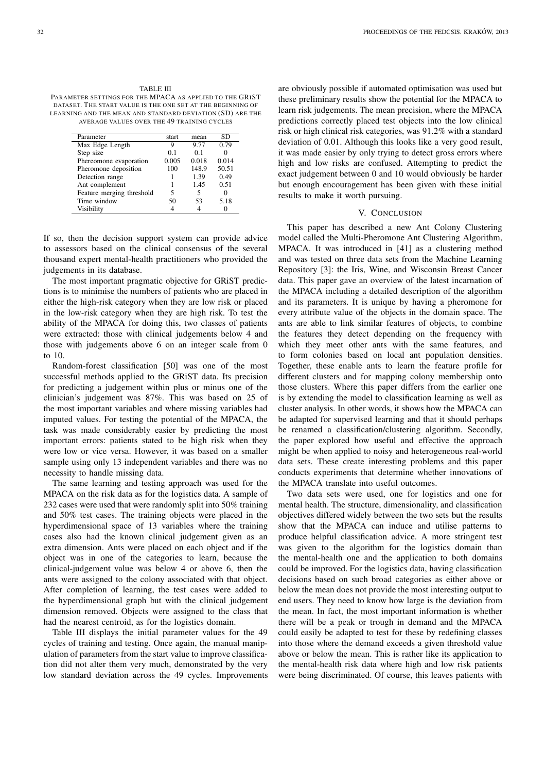TABLE III PARAMETER SETTINGS FOR THE MPACA AS APPLIED TO THE GRIST DATASET. THE START VALUE IS THE ONE SET AT THE BEGINNING OF LEARNING AND THE MEAN AND STANDARD DEVIATION (SD) ARE THE AVERAGE VALUES OVER THE 49 TRAINING CYCLES

| Parameter                 | start          | mean           | SD    |
|---------------------------|----------------|----------------|-------|
| Max Edge Length           | 9              | 9.77           | 0.79  |
| Step size                 | 0 <sub>1</sub> | 0 <sub>1</sub> |       |
| Phereomone evaporation    | 0.005          | 0.018          | 0.014 |
| Pheromone deposition      | 100            | 148.9          | 50.51 |
| Detection range           |                | 1.39           | 0.49  |
| Ant complement            |                | 1.45           | 0.51  |
| Feature merging threshold | 5              | 5              |       |
| Time window               | 50             | 53             | 5.18  |
| Visibility                |                |                |       |
|                           |                |                |       |

If so, then the decision support system can provide advice to assessors based on the clinical consensus of the several thousand expert mental-health practitioners who provided the judgements in its database.

The most important pragmatic objective for GRiST predictions is to minimise the numbers of patients who are placed in either the high-risk category when they are low risk or placed in the low-risk category when they are high risk. To test the ability of the MPACA for doing this, two classes of patients were extracted: those with clinical judgements below 4 and those with judgements above 6 on an integer scale from 0 to 10.

Random-forest classification [50] was one of the most successful methods applied to the GRiST data. Its precision for predicting a judgement within plus or minus one of the clinician's judgement was 87%. This was based on 25 of the most important variables and where missing variables had imputed values. For testing the potential of the MPACA, the task was made considerably easier by predicting the most important errors: patients stated to be high risk when they were low or vice versa. However, it was based on a smaller sample using only 13 independent variables and there was no necessity to handle missing data.

The same learning and testing approach was used for the MPACA on the risk data as for the logistics data. A sample of 232 cases were used that were randomly split into 50% training and 50% test cases. The training objects were placed in the hyperdimensional space of 13 variables where the training cases also had the known clinical judgement given as an extra dimension. Ants were placed on each object and if the object was in one of the categories to learn, because the clinical-judgement value was below 4 or above 6, then the ants were assigned to the colony associated with that object. After completion of learning, the test cases were added to the hyperdimensional graph but with the clinical judgement dimension removed. Objects were assigned to the class that had the nearest centroid, as for the logistics domain.

Table III displays the initial parameter values for the 49 cycles of training and testing. Once again, the manual manipulation of parameters from the start value to improve classification did not alter them very much, demonstrated by the very low standard deviation across the 49 cycles. Improvements

are obviously possible if automated optimisation was used but these preliminary results show the potential for the MPACA to learn risk judgements. The mean precision, where the MPACA predictions correctly placed test objects into the low clinical risk or high clinical risk categories, was 91.2% with a standard deviation of 0.01. Although this looks like a very good result, it was made easier by only trying to detect gross errors where high and low risks are confused. Attempting to predict the exact judgement between 0 and 10 would obviously be harder but enough encouragement has been given with these initial results to make it worth pursuing.

#### V. CONCLUSION

This paper has described a new Ant Colony Clustering model called the Multi-Pheromone Ant Clustering Algorithm, MPACA. It was introduced in [41] as a clustering method and was tested on three data sets from the Machine Learning Repository [3]: the Iris, Wine, and Wisconsin Breast Cancer data. This paper gave an overview of the latest incarnation of the MPACA including a detailed description of the algorithm and its parameters. It is unique by having a pheromone for every attribute value of the objects in the domain space. The ants are able to link similar features of objects, to combine the features they detect depending on the frequency with which they meet other ants with the same features, and to form colonies based on local ant population densities. Together, these enable ants to learn the feature profile for different clusters and for mapping colony membership onto those clusters. Where this paper differs from the earlier one is by extending the model to classification learning as well as cluster analysis. In other words, it shows how the MPACA can be adapted for supervised learning and that it should perhaps be renamed a classification/clustering algorithm. Secondly, the paper explored how useful and effective the approach might be when applied to noisy and heterogeneous real-world data sets. These create interesting problems and this paper conducts experiments that determine whether innovations of the MPACA translate into useful outcomes.

Two data sets were used, one for logistics and one for mental health. The structure, dimensionality, and classification objectives differed widely between the two sets but the results show that the MPACA can induce and utilise patterns to produce helpful classification advice. A more stringent test was given to the algorithm for the logistics domain than the mental-health one and the application to both domains could be improved. For the logistics data, having classification decisions based on such broad categories as either above or below the mean does not provide the most interesting output to end users. They need to know how large is the deviation from the mean. In fact, the most important information is whether there will be a peak or trough in demand and the MPACA could easily be adapted to test for these by redefining classes into those where the demand exceeds a given threshold value above or below the mean. This is rather like its application to the mental-health risk data where high and low risk patients were being discriminated. Of course, this leaves patients with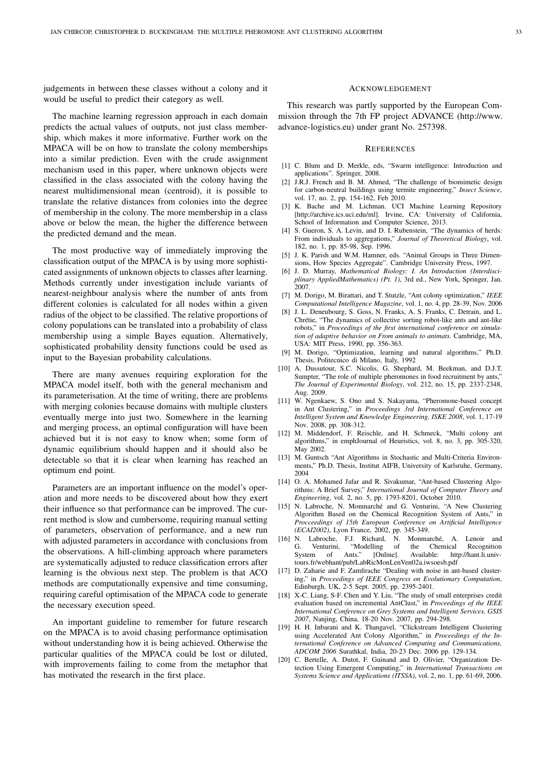judgements in between these classes without a colony and it would be useful to predict their category as well.

The machine learning regression approach in each domain predicts the actual values of outputs, not just class membership, which makes it more informative. Further work on the MPACA will be on how to translate the colony memberships into a similar prediction. Even with the crude assignment mechanism used in this paper, where unknown objects were classified in the class associated with the colony having the nearest multidimensional mean (centroid), it is possible to translate the relative distances from colonies into the degree of membership in the colony. The more membership in a class above or below the mean, the higher the difference between the predicted demand and the mean.

The most productive way of immediately improving the classification output of the MPACA is by using more sophisticated assignments of unknown objects to classes after learning. Methods currently under investigation include variants of nearest-neighbour analysis where the number of ants from different colonies is calculated for all nodes within a given radius of the object to be classified. The relative proportions of colony populations can be translated into a probability of class membership using a simple Bayes equation. Alternatively, sophisticated probability density functions could be used as input to the Bayesian probability calculations.

There are many avenues requiring exploration for the MPACA model itself, both with the general mechanism and its parameterisation. At the time of writing, there are problems with merging colonies because domains with multiple clusters eventually merge into just two. Somewhere in the learning and merging process, an optimal configuration will have been achieved but it is not easy to know when; some form of dynamic equilibrium should happen and it should also be detectable so that it is clear when learning has reached an optimum end point.

Parameters are an important influence on the model's operation and more needs to be discovered about how they exert their influence so that performance can be improved. The current method is slow and cumbersome, requiring manual setting of parameters, observation of performance, and a new run with adjusted parameters in accordance with conclusions from the observations. A hill-climbing approach where parameters are systematically adjusted to reduce classification errors after learning is the obvious next step. The problem is that ACO methods are computationally expensive and time consuming, requiring careful optimisation of the MPACA code to generate the necessary execution speed.

An important guideline to remember for future research on the MPACA is to avoid chasing performance optimisation without understanding how it is being achieved. Otherwise the particular qualities of the MPACA could be lost or diluted, with improvements failing to come from the metaphor that has motivated the research in the first place.

#### ACKNOWLEDGEMENT

This research was partly supported by the European Commission through the 7th FP project ADVANCE (http://www. advance-logistics.eu) under grant No. 257398.

#### **REFERENCES**

- [1] C. Blum and D. Merkle, eds, "Swarm intelligence: Introduction and applications". Springer, 2008.
- [2] J.R.J. French and B. M. Ahmed, "The challenge of biomimetic design for carbon-neutral buildings using termite engineering," *Insect Science*, vol. 17, no. 2, pp. 154-162, Feb 2010.
- [3] K. Bache and M. Lichman. UCI Machine Learning Repository [http://archive.ics.uci.edu/ml]. Irvine, CA: University of California, School of Information and Computer Science, 2013.
- [4] S. Gueron, S. A. Levin, and D. I. Rubenstein, "The dynamics of herds: From individuals to aggregations," *Journal of Theoretical Biology*, vol. 182, no. 1, pp. 85-98, Sep. 1996.
- [5] J. K. Parish and W.M. Hamner, eds. "Animal Groups in Three Dimensions, How Species Aggregate". Cambridge University Press, 1997.
- [6] J. D. Murray, *Mathematical Biology: I. An Introduction (Interdisciplinary AppliedMathematics) (Pt. 1)*, 3rd ed., New York, Springer, Jan. 2007.
- [7] M. Dorigo, M. Birattari, and T. Stutzle, "Ant colony optimization," *IEEE Computational Intelligence Magazine*, vol. 1, no. 4, pp. 28-39, Nov. 2006
- [8] J. L. Deneubourg, S. Goss, N. Franks, A. S. Franks, C. Detrain, and L. Chrétie, "The dynamics of collective sorting robot-like ants and ant-like robots," in *Proceedings of the first international conference on simulation of adaptive behavior on From animals to animats.* Cambridge, MA, USA: MIT Press, 1990, pp. 356-363.
- [9] M. Dorigo, "Optimization, learning and natural algorithms," Ph.D. Thesis, Politecnico di Milano, Italy, 1992
- [10] A. Dussutour, S.C. Nicolis, G. Shephard, M. Beekman, and D.J.T. Sumpter, "The role of multiple pheromones in food recruitment by ants," *The Journal of Experimental Biology*, vol. 212, no. 15, pp. 2337-2348, Aug. 2009.
- [11] W. Ngenkaew, S. Ono and S. Nakayama, "Pheromone-based concept in Ant Clustering," in *Proceedings 3rd International Conference on Intelligent System and Knowledge Engineering, ISKE 2008*, vol. 1, 17-19 Nov. 2008, pp. 308-312.
- [12] M. Middendorf, F. Reischle, and H. Schmeck, "Multi colony ant algorithms," in emphJournal of Heuristics, vol. 8, no. 3, pp. 305-320, May 2002.
- [13] M. Guntsch "Ant Algorithms in Stochastic and Multi-Criteria Environments," Ph.D. Thesis, Institut AIFB, University of Karlsruhe, Germany, 2004
- [14] O. A. Mohamed Jafar and R. Sivakumar, "Ant-based Clustering Algorithms: A Brief Survey," *International Journal of Computer Theory and Engineering*, vol. 2, no. 5, pp. 1793-8201, October 2010.
- [15] N. Labroche, N. Monmarché and G. Venturini, "A New Clustering Algorithm Based on the Chemical Recognition System of Ants," in *Procceedings of 15th European Conference on Artificial Intelligence (ECAI2002)*, Lyon France, 2002, pp. 345-349.
- [16] N. Labroche, F.J. Richard, N. Monmarché, A. Lenoir and G. Venturini, "Modelling of the Chemical Recognition<br>System of Ants." [Online]. Available: http://hant.li.univof Ants." [Online]. Available: http://hant.li.univtours.fr/webhant/pub/LabRicMonLenVen02a.iwsoesb.pdf
- [17] D. Zaharie and F. Zamfirache "Dealing with noise in ant-based clustering," in *Proceedings of IEEE Congress on Evolutionary Computation*, Edinburgh, UK, 2-5 Sept. 2005, pp. 2395-2401.
- [18] X-C. Liang, S-F. Chen and Y. Liu, "The study of small enterprises credit evaluation based on incremental AntClust," in *Proceedings of the IEEE International Conference on Grey Systems and Intelligent Services, GSIS 2007*, Nanjing, China, 18-20 Nov. 2007, pp. 294-298.
- [19] H. H. Inbarani and K. Thangavel, "Clickstream Intelligent Clustering using Accelerated Ant Colony Algorithm," in *Proceedings of the International Conference on Advanced Computing and Communications, ADCOM 2006* Surathkal, India, 20-23 Dec. 2006 pp. 129-134.
- [20] C. Bertelle, A. Dutot, F. Guinand and D. Olivier, "Organization Detection Using Emergent Computing," in *International Transactions on Systems Science and Applications (ITSSA)*, vol. 2, no. 1, pp. 61-69, 2006.